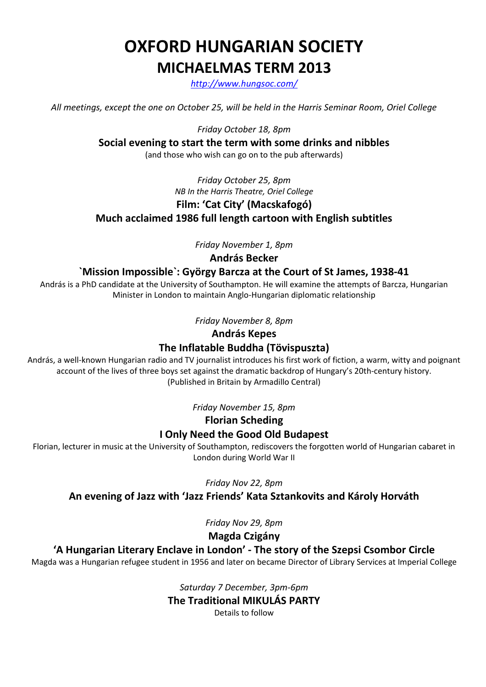# OXFORD HUNGARIAN SOCIETY MICHAELMAS TERM 2013

http://www.hungsoc.com/

All meetings, except the one on October 25, will be held in the Harris Seminar Room, Oriel College

Friday October 18, 8pm

Social evening to start the term with some drinks and nibbles

(and those who wish can go on to the pub afterwards)

## Friday October 25, 8pm NB In the Harris Theatre, Oriel College Film: 'Cat City' (Macskafogó) Much acclaimed 1986 full length cartoon with English subtitles

Friday November 1, 8pm

András Becker

### `Mission Impossible`: György Barcza at the Court of St James, 1938-41

András is a PhD candidate at the University of Southampton. He will examine the attempts of Barcza, Hungarian Minister in London to maintain Anglo-Hungarian diplomatic relationship

Friday November 8, 8pm

#### András Kepes

## The Inflatable Buddha (Tövispuszta)

András, a well-known Hungarian radio and TV journalist introduces his first work of fiction, a warm, witty and poignant account of the lives of three boys set against the dramatic backdrop of Hungary's 20th-century history. (Published in Britain by Armadillo Central)

Friday November 15, 8pm

Florian Scheding

## I Only Need the Good Old Budapest

Florian, lecturer in music at the University of Southampton, rediscovers the forgotten world of Hungarian cabaret in London during World War II

Friday Nov 22, 8pm

An evening of Jazz with 'Jazz Friends' Kata Sztankovits and Károly Horváth

Friday Nov 29, 8pm

Magda Czigány

## 'A Hungarian Literary Enclave in London' - The story of the Szepsi Csombor Circle

Magda was a Hungarian refugee student in 1956 and later on became Director of Library Services at Imperial College

Saturday 7 December, 3pm-6pm The Traditional MIKULÁS PARTY Details to follow